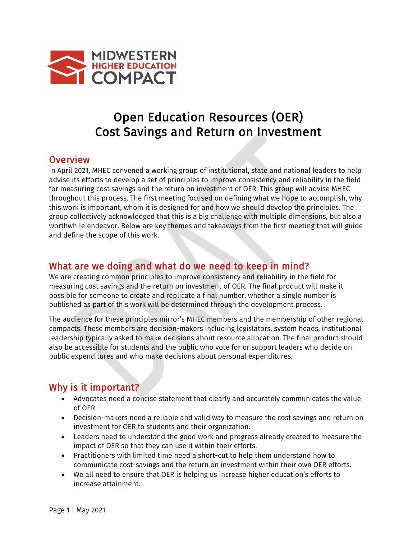

# Open Education Resources (OER) Cost Savings and Return on Investment

#### **Overview**

In April 2021, MHEC convened a working group of institutional, state and national leaders to help advise its efforts to develop a set of principles to improve consistency and reliability in the field for measuring cost savings and the return on investment of OER. This group will advise MHEC throughout this process. The first meeting focused on defining what we hope to accomplish, why this work is important, whom it is designed for and how we should develop the principles. The group collectively acknowledged that this is a big challenge with multiple dimensions, but also a worthwhile endeavor. Below are key themes and takeaways from the first meeting that will guide and define the scope of this work.

## What are we doing and what do we need to keep in mind?

We are creating common principles to improve consistency and reliability in the field for measuring cost savings and the return on investment of OER. The final product will make it possible for someone to create and replicate a final number, whether a single number is published as part of this work will be determined through the development process.

The audience for these principles mirror's MHEC members and the membership of other regional compacts. These members are decision-makers including legislators, system heads, institutional leadership typically asked to make decisions about resource allocation. The final product should also be accessible for students and the public who vote for or support leaders who decide on public expenditures and who make decisions about personal expenditures.

# Why is it important?

- Advocates need a concise statement that clearly and accurately communicates the value of OER.
- Decision-makers need a reliable and valid way to measure the cost savings and return on investment for OER to students and their organization.
- Leaders need to understand the good work and progress already created to measure the impact of OER so that they can use it within their efforts.
- Practitioners with limited time need a short-cut to help them understand how to communicate cost-savings and the return on investment within their own OER efforts.
- We all need to ensure that OER is helping us increase higher education's efforts to increase attainment.